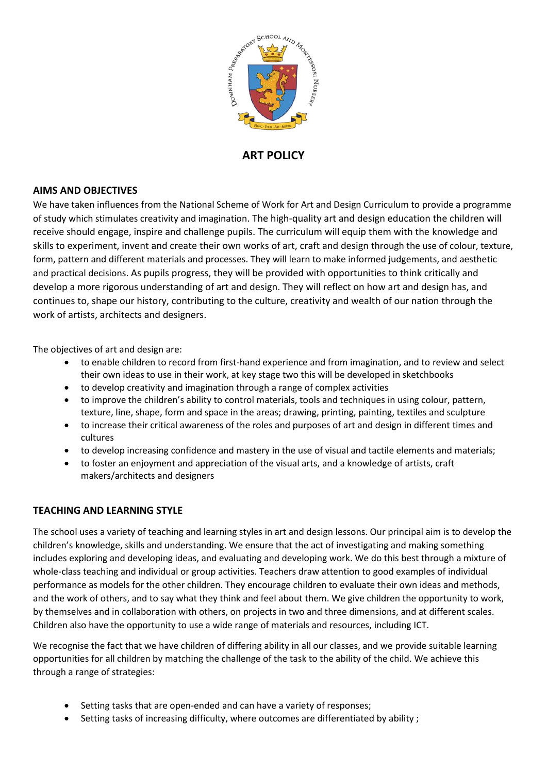

# **ART POLICY**

### **AIMS AND OBJECTIVES**

We have taken influences from the National Scheme of Work for Art and Design Curriculum to provide a programme of study which stimulates creativity and imagination. The high-quality art and design education the children will receive should engage, inspire and challenge pupils. The curriculum will equip them with the knowledge and skills to experiment, invent and create their own works of art, craft and design through the use of colour, texture, form, pattern and different materials and processes. They will learn to make informed judgements, and aesthetic and practical decisions. As pupils progress, they will be provided with opportunities to think critically and develop a more rigorous understanding of art and design. They will reflect on how art and design has, and continues to, shape our history, contributing to the culture, creativity and wealth of our nation through the work of artists, architects and designers.

The objectives of art and design are:

- to enable children to record from first-hand experience and from imagination, and to review and select their own ideas to use in their work, at key stage two this will be developed in sketchbooks
- to develop creativity and imagination through a range of complex activities
- to improve the children's ability to control materials, tools and techniques in using colour, pattern, texture, line, shape, form and space in the areas; drawing, printing, painting, textiles and sculpture
- to increase their critical awareness of the roles and purposes of art and design in different times and cultures
- to develop increasing confidence and mastery in the use of visual and tactile elements and materials;
- to foster an enjoyment and appreciation of the visual arts, and a knowledge of artists, craft makers/architects and designers

### **TEACHING AND LEARNING STYLE**

The school uses a variety of teaching and learning styles in art and design lessons. Our principal aim is to develop the children's knowledge, skills and understanding. We ensure that the act of investigating and making something includes exploring and developing ideas, and evaluating and developing work. We do this best through a mixture of whole-class teaching and individual or group activities. Teachers draw attention to good examples of individual performance as models for the other children. They encourage children to evaluate their own ideas and methods, and the work of others, and to say what they think and feel about them. We give children the opportunity to work, by themselves and in collaboration with others, on projects in two and three dimensions, and at different scales. Children also have the opportunity to use a wide range of materials and resources, including ICT.

We recognise the fact that we have children of differing ability in all our classes, and we provide suitable learning opportunities for all children by matching the challenge of the task to the ability of the child. We achieve this through a range of strategies:

- Setting tasks that are open-ended and can have a variety of responses;
- Setting tasks of increasing difficulty, where outcomes are differentiated by ability ;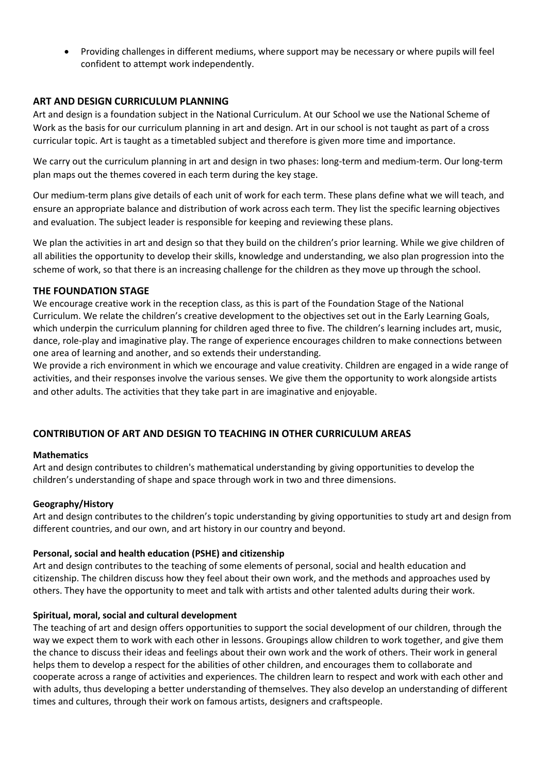Providing challenges in different mediums, where support may be necessary or where pupils will feel confident to attempt work independently.

#### **ART AND DESIGN CURRICULUM PLANNING**

Art and design is a foundation subject in the National Curriculum. At our School we use the National Scheme of Work as the basis for our curriculum planning in art and design. Art in our school is not taught as part of a cross curricular topic. Art is taught as a timetabled subject and therefore is given more time and importance.

We carry out the curriculum planning in art and design in two phases: long-term and medium-term. Our long-term plan maps out the themes covered in each term during the key stage.

Our medium-term plans give details of each unit of work for each term. These plans define what we will teach, and ensure an appropriate balance and distribution of work across each term. They list the specific learning objectives and evaluation. The subject leader is responsible for keeping and reviewing these plans.

We plan the activities in art and design so that they build on the children's prior learning. While we give children of all abilities the opportunity to develop their skills, knowledge and understanding, we also plan progression into the scheme of work, so that there is an increasing challenge for the children as they move up through the school.

#### **THE FOUNDATION STAGE**

We encourage creative work in the reception class, as this is part of the Foundation Stage of the National Curriculum. We relate the children's creative development to the objectives set out in the Early Learning Goals, which underpin the curriculum planning for children aged three to five. The children's learning includes art, music, dance, role-play and imaginative play. The range of experience encourages children to make connections between one area of learning and another, and so extends their understanding.

We provide a rich environment in which we encourage and value creativity. Children are engaged in a wide range of activities, and their responses involve the various senses. We give them the opportunity to work alongside artists and other adults. The activities that they take part in are imaginative and enjoyable.

### **CONTRIBUTION OF ART AND DESIGN TO TEACHING IN OTHER CURRICULUM AREAS**

#### **Mathematics**

Art and design contributes to children's mathematical understanding by giving opportunities to develop the children's understanding of shape and space through work in two and three dimensions.

#### **Geography/History**

Art and design contributes to the children's topic understanding by giving opportunities to study art and design from different countries, and our own, and art history in our country and beyond.

### **Personal, social and health education (PSHE) and citizenship**

Art and design contributes to the teaching of some elements of personal, social and health education and citizenship. The children discuss how they feel about their own work, and the methods and approaches used by others. They have the opportunity to meet and talk with artists and other talented adults during their work.

#### **Spiritual, moral, social and cultural development**

The teaching of art and design offers opportunities to support the social development of our children, through the way we expect them to work with each other in lessons. Groupings allow children to work together, and give them the chance to discuss their ideas and feelings about their own work and the work of others. Their work in general helps them to develop a respect for the abilities of other children, and encourages them to collaborate and cooperate across a range of activities and experiences. The children learn to respect and work with each other and with adults, thus developing a better understanding of themselves. They also develop an understanding of different times and cultures, through their work on famous artists, designers and craftspeople.